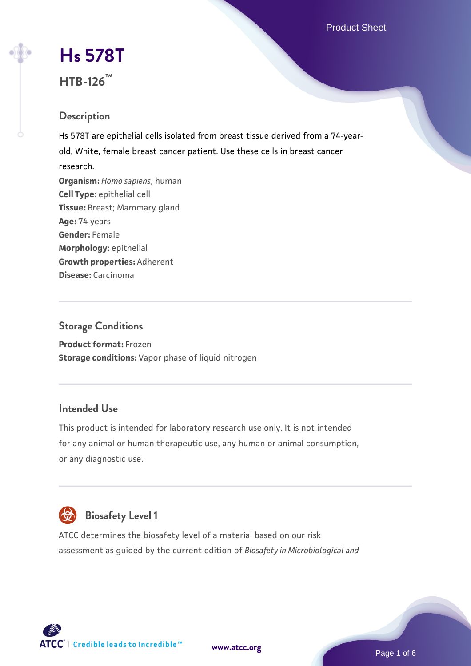Product Sheet

# **[Hs 578T](https://www.atcc.org/products/htb-126) HTB-126™**

# **Description**

Hs 578T are epithelial cells isolated from breast tissue derived from a 74-yearold, White, female breast cancer patient. Use these cells in breast cancer research. **Organism:** *Homo sapiens*, human **Cell Type:** epithelial cell **Tissue:** Breast; Mammary gland **Age:** 74 years **Gender:** Female **Morphology:** epithelial **Growth properties:** Adherent **Disease:** Carcinoma

#### **Storage Conditions**

**Product format:** Frozen **Storage conditions:** Vapor phase of liquid nitrogen

# **Intended Use**

This product is intended for laboratory research use only. It is not intended for any animal or human therapeutic use, any human or animal consumption, or any diagnostic use.



ATCC determines the biosafety level of a material based on our risk assessment as guided by the current edition of *Biosafety in Microbiological and*



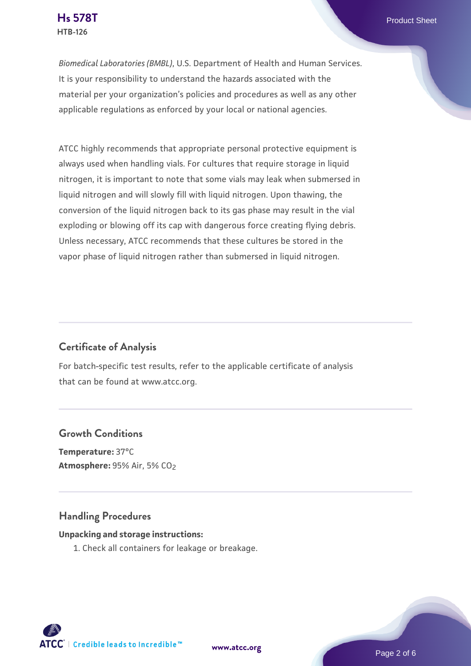*Biomedical Laboratories (BMBL)*, U.S. Department of Health and Human Services. It is your responsibility to understand the hazards associated with the material per your organization's policies and procedures as well as any other applicable regulations as enforced by your local or national agencies.

ATCC highly recommends that appropriate personal protective equipment is always used when handling vials. For cultures that require storage in liquid nitrogen, it is important to note that some vials may leak when submersed in liquid nitrogen and will slowly fill with liquid nitrogen. Upon thawing, the conversion of the liquid nitrogen back to its gas phase may result in the vial exploding or blowing off its cap with dangerous force creating flying debris. Unless necessary, ATCC recommends that these cultures be stored in the vapor phase of liquid nitrogen rather than submersed in liquid nitrogen.

# **Certificate of Analysis**

For batch-specific test results, refer to the applicable certificate of analysis that can be found at www.atcc.org.

#### **Growth Conditions**

**Temperature:** 37°C **Atmosphere:** 95% Air, 5% CO2

#### **Handling Procedures**

#### **Unpacking and storage instructions:**

1. Check all containers for leakage or breakage.

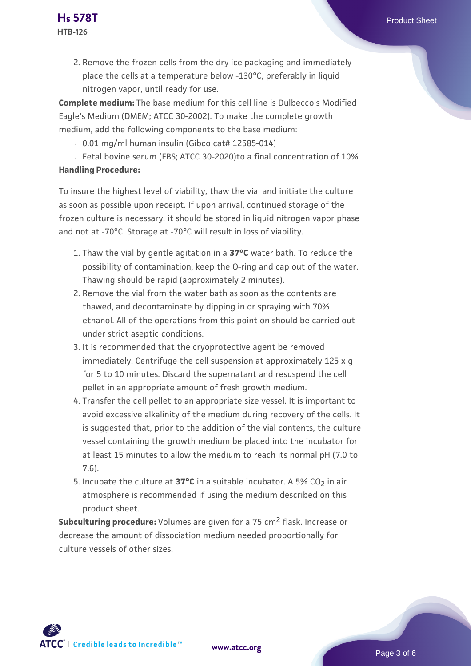2. Remove the frozen cells from the dry ice packaging and immediately place the cells at a temperature below -130°C, preferably in liquid nitrogen vapor, until ready for use.

**Complete medium:** The base medium for this cell line is Dulbecco's Modified Eagle's Medium (DMEM; ATCC 30-2002). To make the complete growth medium, add the following components to the base medium:

- $0.01$  mg/ml human insulin (Gibco cat# 12585-014)
- Fetal bovine serum (FBS; ATCC 30-2020)to a final concentration of 10% **Handling Procedure:**

To insure the highest level of viability, thaw the vial and initiate the culture as soon as possible upon receipt. If upon arrival, continued storage of the frozen culture is necessary, it should be stored in liquid nitrogen vapor phase and not at -70°C. Storage at -70°C will result in loss of viability.

- 1. Thaw the vial by gentle agitation in a **37°C** water bath. To reduce the possibility of contamination, keep the O-ring and cap out of the water. Thawing should be rapid (approximately 2 minutes).
- 2. Remove the vial from the water bath as soon as the contents are thawed, and decontaminate by dipping in or spraying with 70% ethanol. All of the operations from this point on should be carried out under strict aseptic conditions.
- 3. It is recommended that the cryoprotective agent be removed immediately. Centrifuge the cell suspension at approximately 125 x g for 5 to 10 minutes. Discard the supernatant and resuspend the cell pellet in an appropriate amount of fresh growth medium.
- 4. Transfer the cell pellet to an appropriate size vessel. It is important to avoid excessive alkalinity of the medium during recovery of the cells. It is suggested that, prior to the addition of the vial contents, the culture vessel containing the growth medium be placed into the incubator for at least 15 minutes to allow the medium to reach its normal pH (7.0 to 7.6).
- 5. Incubate the culture at **37°C** in a suitable incubator. A 5% CO<sub>2</sub> in air atmosphere is recommended if using the medium described on this product sheet.

**Subculturing procedure:** Volumes are given for a 75 cm<sup>2</sup> flask. Increase or decrease the amount of dissociation medium needed proportionally for culture vessels of other sizes.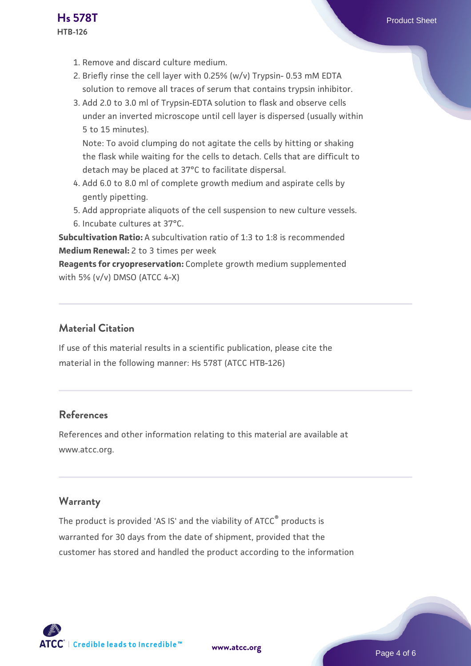1. Remove and discard culture medium.

**HTB-126**

- 2. Briefly rinse the cell layer with 0.25% (w/v) Trypsin- 0.53 mM EDTA solution to remove all traces of serum that contains trypsin inhibitor.
- 3. Add 2.0 to 3.0 ml of Trypsin-EDTA solution to flask and observe cells under an inverted microscope until cell layer is dispersed (usually within 5 to 15 minutes).

Note: To avoid clumping do not agitate the cells by hitting or shaking the flask while waiting for the cells to detach. Cells that are difficult to detach may be placed at 37°C to facilitate dispersal.

- Add 6.0 to 8.0 ml of complete growth medium and aspirate cells by 4. gently pipetting.
- 5. Add appropriate aliquots of the cell suspension to new culture vessels.
- 6. Incubate cultures at 37°C.

**Subcultivation Ratio:** A subcultivation ratio of 1:3 to 1:8 is recommended **Medium Renewal:** 2 to 3 times per week

**Reagents for cryopreservation:** Complete growth medium supplemented with 5% (v/v) DMSO (ATCC 4-X)

# **Material Citation**

If use of this material results in a scientific publication, please cite the material in the following manner: Hs 578T (ATCC HTB-126)

# **References**

References and other information relating to this material are available at www.atcc.org.

# **Warranty**

The product is provided 'AS IS' and the viability of ATCC<sup>®</sup> products is warranted for 30 days from the date of shipment, provided that the customer has stored and handled the product according to the information

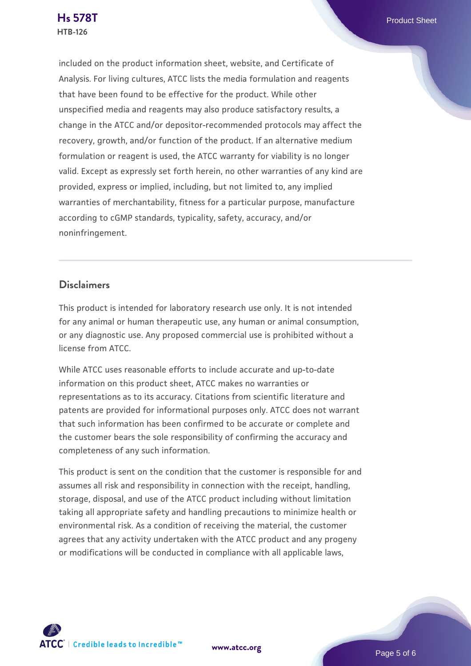included on the product information sheet, website, and Certificate of Analysis. For living cultures, ATCC lists the media formulation and reagents that have been found to be effective for the product. While other unspecified media and reagents may also produce satisfactory results, a change in the ATCC and/or depositor-recommended protocols may affect the recovery, growth, and/or function of the product. If an alternative medium formulation or reagent is used, the ATCC warranty for viability is no longer valid. Except as expressly set forth herein, no other warranties of any kind are provided, express or implied, including, but not limited to, any implied warranties of merchantability, fitness for a particular purpose, manufacture according to cGMP standards, typicality, safety, accuracy, and/or noninfringement.

#### **Disclaimers**

This product is intended for laboratory research use only. It is not intended for any animal or human therapeutic use, any human or animal consumption, or any diagnostic use. Any proposed commercial use is prohibited without a license from ATCC.

While ATCC uses reasonable efforts to include accurate and up-to-date information on this product sheet, ATCC makes no warranties or representations as to its accuracy. Citations from scientific literature and patents are provided for informational purposes only. ATCC does not warrant that such information has been confirmed to be accurate or complete and the customer bears the sole responsibility of confirming the accuracy and completeness of any such information.

This product is sent on the condition that the customer is responsible for and assumes all risk and responsibility in connection with the receipt, handling, storage, disposal, and use of the ATCC product including without limitation taking all appropriate safety and handling precautions to minimize health or environmental risk. As a condition of receiving the material, the customer agrees that any activity undertaken with the ATCC product and any progeny or modifications will be conducted in compliance with all applicable laws,



**[www.atcc.org](http://www.atcc.org)**

Page 5 of 6